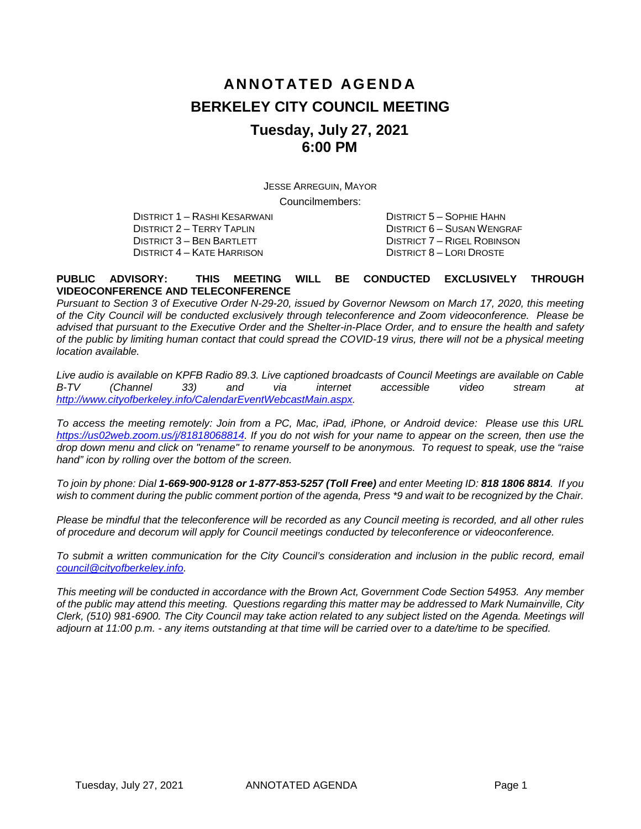# **ANNOTATED AGENDA BERKELEY CITY COUNCIL MEETING Tuesday, July 27, 2021 6:00 PM**

JESSE ARREGUIN, MAYOR

Councilmembers:

DISTRICT 2 – TERRY TAPLIN DISTRICT 6 – SUSAN WENGRAF DISTRICT 4 – KATE HARRISON

DISTRICT 1 – RASHI KESARWANI DISTRICT 5 – SOPHIE HAHN DISTRICT 7 – RIGEL ROBINSON<br>DISTRICT 8 – LORI DROSTE

#### **PUBLIC ADVISORY: THIS MEETING WILL BE CONDUCTED EXCLUSIVELY THROUGH VIDEOCONFERENCE AND TELECONFERENCE**

*Pursuant to Section 3 of Executive Order N-29-20, issued by Governor Newsom on March 17, 2020, this meeting of the City Council will be conducted exclusively through teleconference and Zoom videoconference. Please be advised that pursuant to the Executive Order and the Shelter-in-Place Order, and to ensure the health and safety of the public by limiting human contact that could spread the COVID-19 virus, there will not be a physical meeting location available.* 

*Live audio is available on KPFB Radio 89.3. Live captioned broadcasts of Council Meetings are available on Cable B-TV (Channel 33) and via internet accessible video stream at [http://www.cityofberkeley.info/CalendarEventWebcastMain.aspx.](http://www.cityofberkeley.info/CalendarEventWebcastMain.aspx)*

*To access the meeting remotely: Join from a PC, Mac, iPad, iPhone, or Android device: Please use this URL [https://us02web.zoom.us/j/81818068814.](https://us02web.zoom.us/j/81818068814) If you do not wish for your name to appear on the screen, then use the drop down menu and click on "rename" to rename yourself to be anonymous. To request to speak, use the "raise hand" icon by rolling over the bottom of the screen.* 

*To join by phone: Dial 1-669-900-9128 or 1-877-853-5257 (Toll Free) and enter Meeting ID: 818 1806 8814. If you*  wish to comment during the public comment portion of the agenda, Press \*9 and wait to be recognized by the Chair.

*Please be mindful that the teleconference will be recorded as any Council meeting is recorded, and all other rules of procedure and decorum will apply for Council meetings conducted by teleconference or videoconference.*

To submit a written communication for the City Council's consideration and inclusion in the public record, email *[council@cityofberkeley.info.](mailto:council@cityofberkeley.info)*

*This meeting will be conducted in accordance with the Brown Act, Government Code Section 54953. Any member of the public may attend this meeting. Questions regarding this matter may be addressed to Mark Numainville, City Clerk, (510) 981-6900. The City Council may take action related to any subject listed on the Agenda. Meetings will adjourn at 11:00 p.m. - any items outstanding at that time will be carried over to a date/time to be specified.*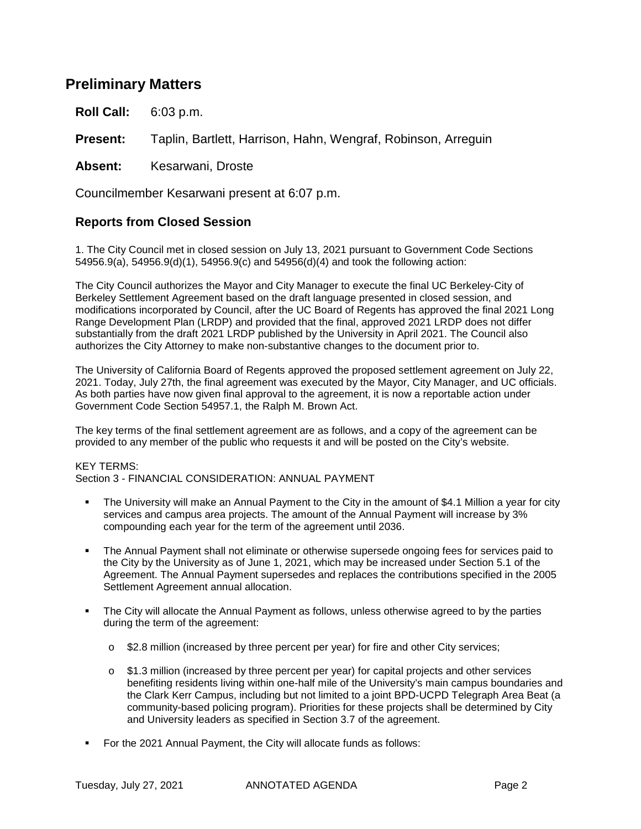## **Preliminary Matters**

**Roll Call:** 6:03 p.m. **Present:** Taplin, Bartlett, Harrison, Hahn, Wengraf, Robinson, Arreguin Absent: Kesarwani, Droste

Councilmember Kesarwani present at 6:07 p.m.

#### **Reports from Closed Session**

1. The City Council met in closed session on July 13, 2021 pursuant to Government Code Sections 54956.9(a), 54956.9(d)(1), 54956.9(c) and 54956(d)(4) and took the following action:

The City Council authorizes the Mayor and City Manager to execute the final UC Berkeley-City of Berkeley Settlement Agreement based on the draft language presented in closed session, and modifications incorporated by Council, after the UC Board of Regents has approved the final 2021 Long Range Development Plan (LRDP) and provided that the final, approved 2021 LRDP does not differ substantially from the draft 2021 LRDP published by the University in April 2021. The Council also authorizes the City Attorney to make non-substantive changes to the document prior to.

The University of California Board of Regents approved the proposed settlement agreement on July 22, 2021. Today, July 27th, the final agreement was executed by the Mayor, City Manager, and UC officials. As both parties have now given final approval to the agreement, it is now a reportable action under Government Code Section 54957.1, the Ralph M. Brown Act.

The key terms of the final settlement agreement are as follows, and a copy of the agreement can be provided to any member of the public who requests it and will be posted on the City's website.

#### KEY TERMS:

Section 3 - FINANCIAL CONSIDERATION: ANNUAL PAYMENT

- The University will make an Annual Payment to the City in the amount of \$4.1 Million a year for city services and campus area projects. The amount of the Annual Payment will increase by 3% compounding each year for the term of the agreement until 2036.
- The Annual Payment shall not eliminate or otherwise supersede ongoing fees for services paid to the City by the University as of June 1, 2021, which may be increased under Section 5.1 of the Agreement. The Annual Payment supersedes and replaces the contributions specified in the 2005 Settlement Agreement annual allocation.
- The City will allocate the Annual Payment as follows, unless otherwise agreed to by the parties during the term of the agreement:
	- $\circ$  \$2.8 million (increased by three percent per year) for fire and other City services;
	- o \$1.3 million (increased by three percent per year) for capital projects and other services benefiting residents living within one-half mile of the University's main campus boundaries and the Clark Kerr Campus, including but not limited to a joint BPD-UCPD Telegraph Area Beat (a community-based policing program). Priorities for these projects shall be determined by City and University leaders as specified in Section 3.7 of the agreement.
- For the 2021 Annual Payment, the City will allocate funds as follows: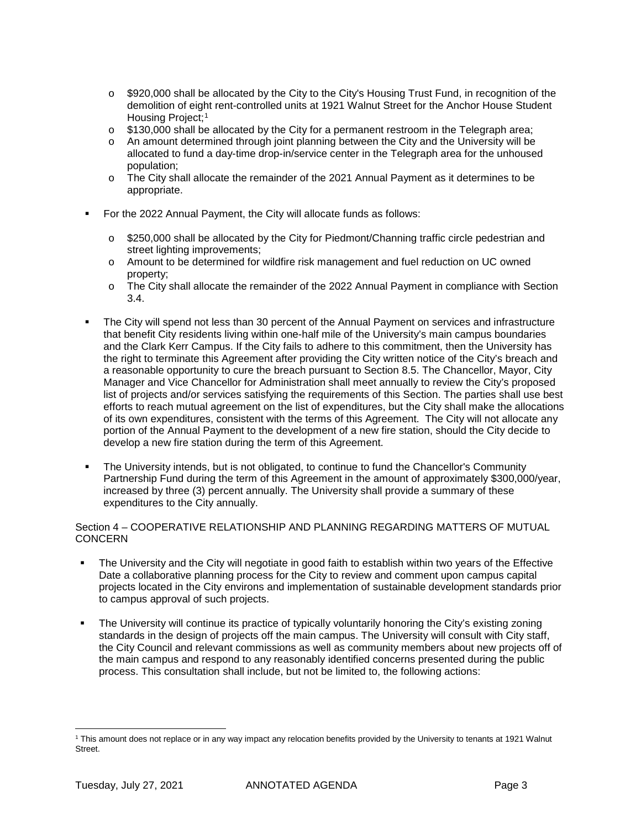- o \$920,000 shall be allocated by the City to the City's Housing Trust Fund, in recognition of the demolition of eight rent-controlled units at 1921 Walnut Street for the Anchor House Student Housing Project;<sup>[1](#page-2-0)</sup>
- o \$130,000 shall be allocated by the City for a permanent restroom in the Telegraph area;
- o An amount determined through joint planning between the City and the University will be allocated to fund a day-time drop-in/service center in the Telegraph area for the unhoused population;
- o The City shall allocate the remainder of the 2021 Annual Payment as it determines to be appropriate.
- For the 2022 Annual Payment, the City will allocate funds as follows:
	- o \$250,000 shall be allocated by the City for Piedmont/Channing traffic circle pedestrian and street lighting improvements;
	- o Amount to be determined for wildfire risk management and fuel reduction on UC owned property;
	- o The City shall allocate the remainder of the 2022 Annual Payment in compliance with Section 3.4.
- The City will spend not less than 30 percent of the Annual Payment on services and infrastructure that benefit City residents living within one-half mile of the University's main campus boundaries and the Clark Kerr Campus. If the City fails to adhere to this commitment, then the University has the right to terminate this Agreement after providing the City written notice of the City's breach and a reasonable opportunity to cure the breach pursuant to Section 8.5. The Chancellor, Mayor, City Manager and Vice Chancellor for Administration shall meet annually to review the City's proposed list of projects and/or services satisfying the requirements of this Section. The parties shall use best efforts to reach mutual agreement on the list of expenditures, but the City shall make the allocations of its own expenditures, consistent with the terms of this Agreement. The City will not allocate any portion of the Annual Payment to the development of a new fire station, should the City decide to develop a new fire station during the term of this Agreement.
- The University intends, but is not obligated, to continue to fund the Chancellor's Community Partnership Fund during the term of this Agreement in the amount of approximately \$300,000/year, increased by three (3) percent annually. The University shall provide a summary of these expenditures to the City annually.

#### Section 4 – COOPERATIVE RELATIONSHIP AND PLANNING REGARDING MATTERS OF MUTUAL **CONCERN**

- The University and the City will negotiate in good faith to establish within two years of the Effective Date a collaborative planning process for the City to review and comment upon campus capital projects located in the City environs and implementation of sustainable development standards prior to campus approval of such projects.
- The University will continue its practice of typically voluntarily honoring the City's existing zoning standards in the design of projects off the main campus. The University will consult with City staff, the City Council and relevant commissions as well as community members about new projects off of the main campus and respond to any reasonably identified concerns presented during the public process. This consultation shall include, but not be limited to, the following actions:

<span id="page-2-0"></span> $\overline{a}$ <sup>1</sup> This amount does not replace or in any way impact any relocation benefits provided by the University to tenants at 1921 Walnut Street.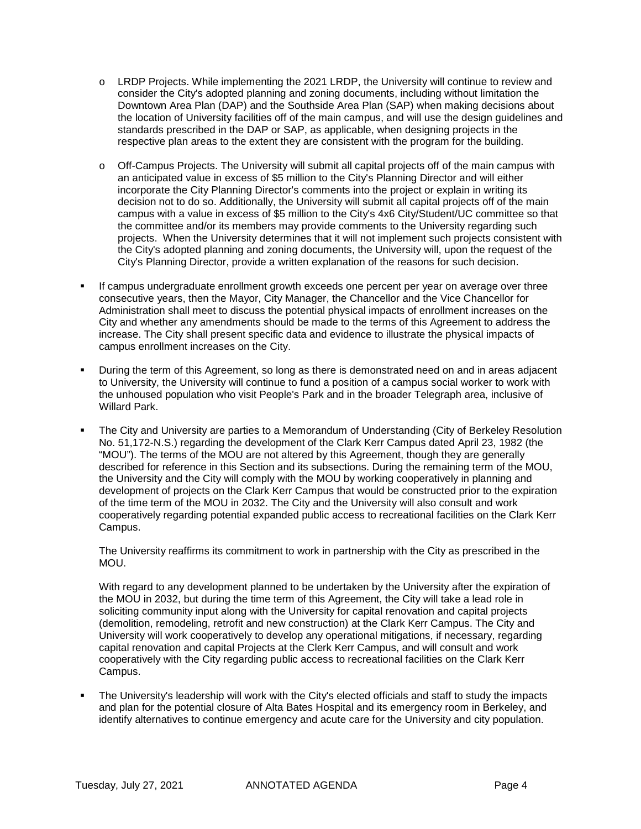- o LRDP Projects. While implementing the 2021 LRDP, the University will continue to review and consider the City's adopted planning and zoning documents, including without limitation the Downtown Area Plan (DAP) and the Southside Area Plan (SAP) when making decisions about the location of University facilities off of the main campus, and will use the design guidelines and standards prescribed in the DAP or SAP, as applicable, when designing projects in the respective plan areas to the extent they are consistent with the program for the building.
- o Off-Campus Projects. The University will submit all capital projects off of the main campus with an anticipated value in excess of \$5 million to the City's Planning Director and will either incorporate the City Planning Director's comments into the project or explain in writing its decision not to do so. Additionally, the University will submit all capital projects off of the main campus with a value in excess of \$5 million to the City's 4x6 City/Student/UC committee so that the committee and/or its members may provide comments to the University regarding such projects. When the University determines that it will not implement such projects consistent with the City's adopted planning and zoning documents, the University will, upon the request of the City's Planning Director, provide a written explanation of the reasons for such decision.
- If campus undergraduate enrollment growth exceeds one percent per year on average over three consecutive years, then the Mayor, City Manager, the Chancellor and the Vice Chancellor for Administration shall meet to discuss the potential physical impacts of enrollment increases on the City and whether any amendments should be made to the terms of this Agreement to address the increase. The City shall present specific data and evidence to illustrate the physical impacts of campus enrollment increases on the City.
- During the term of this Agreement, so long as there is demonstrated need on and in areas adjacent to University, the University will continue to fund a position of a campus social worker to work with the unhoused population who visit People's Park and in the broader Telegraph area, inclusive of Willard Park.
- The City and University are parties to a Memorandum of Understanding (City of Berkeley Resolution No. 51,172-N.S.) regarding the development of the Clark Kerr Campus dated April 23, 1982 (the "MOU"). The terms of the MOU are not altered by this Agreement, though they are generally described for reference in this Section and its subsections. During the remaining term of the MOU, the University and the City will comply with the MOU by working cooperatively in planning and development of projects on the Clark Kerr Campus that would be constructed prior to the expiration of the time term of the MOU in 2032. The City and the University will also consult and work cooperatively regarding potential expanded public access to recreational facilities on the Clark Kerr Campus.

The University reaffirms its commitment to work in partnership with the City as prescribed in the MOU.

With regard to any development planned to be undertaken by the University after the expiration of the MOU in 2032, but during the time term of this Agreement, the City will take a lead role in soliciting community input along with the University for capital renovation and capital projects (demolition, remodeling, retrofit and new construction) at the Clark Kerr Campus. The City and University will work cooperatively to develop any operational mitigations, if necessary, regarding capital renovation and capital Projects at the Clerk Kerr Campus, and will consult and work cooperatively with the City regarding public access to recreational facilities on the Clark Kerr Campus.

 The University's leadership will work with the City's elected officials and staff to study the impacts and plan for the potential closure of Alta Bates Hospital and its emergency room in Berkeley, and identify alternatives to continue emergency and acute care for the University and city population.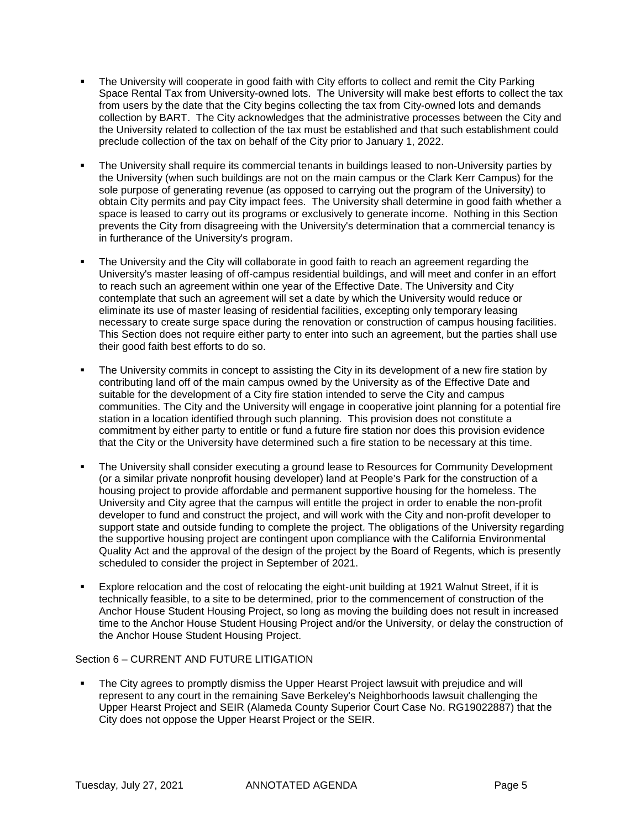- The University will cooperate in good faith with City efforts to collect and remit the City Parking Space Rental Tax from University-owned lots. The University will make best efforts to collect the tax from users by the date that the City begins collecting the tax from City-owned lots and demands collection by BART. The City acknowledges that the administrative processes between the City and the University related to collection of the tax must be established and that such establishment could preclude collection of the tax on behalf of the City prior to January 1, 2022.
- The University shall require its commercial tenants in buildings leased to non-University parties by the University (when such buildings are not on the main campus or the Clark Kerr Campus) for the sole purpose of generating revenue (as opposed to carrying out the program of the University) to obtain City permits and pay City impact fees. The University shall determine in good faith whether a space is leased to carry out its programs or exclusively to generate income. Nothing in this Section prevents the City from disagreeing with the University's determination that a commercial tenancy is in furtherance of the University's program.
- The University and the City will collaborate in good faith to reach an agreement regarding the University's master leasing of off-campus residential buildings, and will meet and confer in an effort to reach such an agreement within one year of the Effective Date. The University and City contemplate that such an agreement will set a date by which the University would reduce or eliminate its use of master leasing of residential facilities, excepting only temporary leasing necessary to create surge space during the renovation or construction of campus housing facilities. This Section does not require either party to enter into such an agreement, but the parties shall use their good faith best efforts to do so.
- The University commits in concept to assisting the City in its development of a new fire station by contributing land off of the main campus owned by the University as of the Effective Date and suitable for the development of a City fire station intended to serve the City and campus communities. The City and the University will engage in cooperative joint planning for a potential fire station in a location identified through such planning. This provision does not constitute a commitment by either party to entitle or fund a future fire station nor does this provision evidence that the City or the University have determined such a fire station to be necessary at this time.
- The University shall consider executing a ground lease to Resources for Community Development (or a similar private nonprofit housing developer) land at People's Park for the construction of a housing project to provide affordable and permanent supportive housing for the homeless. The University and City agree that the campus will entitle the project in order to enable the non-profit developer to fund and construct the project, and will work with the City and non-profit developer to support state and outside funding to complete the project. The obligations of the University regarding the supportive housing project are contingent upon compliance with the California Environmental Quality Act and the approval of the design of the project by the Board of Regents, which is presently scheduled to consider the project in September of 2021.
- Explore relocation and the cost of relocating the eight-unit building at 1921 Walnut Street, if it is technically feasible, to a site to be determined, prior to the commencement of construction of the Anchor House Student Housing Project, so long as moving the building does not result in increased time to the Anchor House Student Housing Project and/or the University, or delay the construction of the Anchor House Student Housing Project.

Section 6 – CURRENT AND FUTURE LITIGATION

 The City agrees to promptly dismiss the Upper Hearst Project lawsuit with prejudice and will represent to any court in the remaining Save Berkeley's Neighborhoods lawsuit challenging the Upper Hearst Project and SEIR (Alameda County Superior Court Case No. RG19022887) that the City does not oppose the Upper Hearst Project or the SEIR.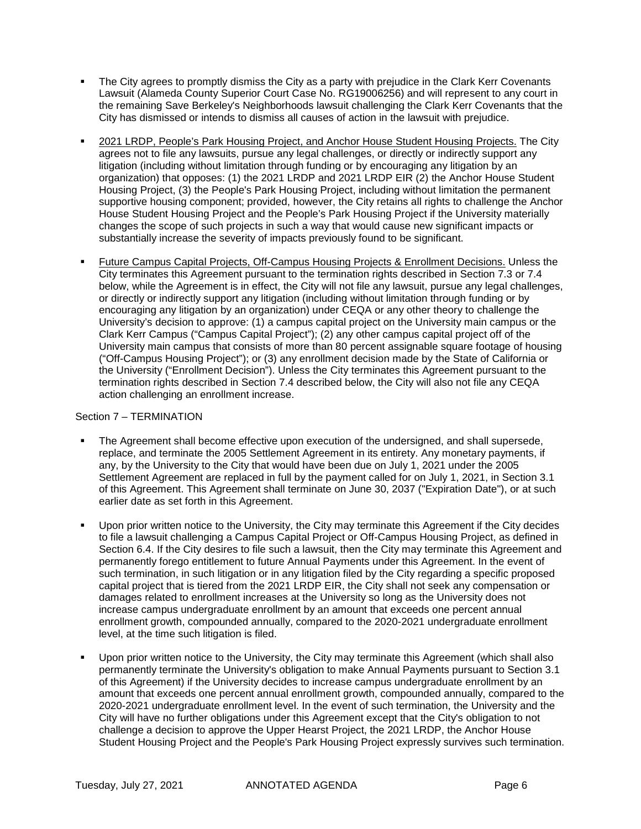- The City agrees to promptly dismiss the City as a party with prejudice in the Clark Kerr Covenants Lawsuit (Alameda County Superior Court Case No. RG19006256) and will represent to any court in the remaining Save Berkeley's Neighborhoods lawsuit challenging the Clark Kerr Covenants that the City has dismissed or intends to dismiss all causes of action in the lawsuit with prejudice.
- 2021 LRDP, People's Park Housing Project, and Anchor House Student Housing Projects. The City agrees not to file any lawsuits, pursue any legal challenges, or directly or indirectly support any litigation (including without limitation through funding or by encouraging any litigation by an organization) that opposes: (1) the 2021 LRDP and 2021 LRDP EIR (2) the Anchor House Student Housing Project, (3) the People's Park Housing Project, including without limitation the permanent supportive housing component; provided, however, the City retains all rights to challenge the Anchor House Student Housing Project and the People's Park Housing Project if the University materially changes the scope of such projects in such a way that would cause new significant impacts or substantially increase the severity of impacts previously found to be significant.
- Future Campus Capital Projects, Off-Campus Housing Projects & Enrollment Decisions. Unless the City terminates this Agreement pursuant to the termination rights described in Section 7.3 or 7.4 below, while the Agreement is in effect, the City will not file any lawsuit, pursue any legal challenges, or directly or indirectly support any litigation (including without limitation through funding or by encouraging any litigation by an organization) under CEQA or any other theory to challenge the University's decision to approve: (1) a campus capital project on the University main campus or the Clark Kerr Campus ("Campus Capital Project"); (2) any other campus capital project off of the University main campus that consists of more than 80 percent assignable square footage of housing ("Off-Campus Housing Project"); or (3) any enrollment decision made by the State of California or the University ("Enrollment Decision"). Unless the City terminates this Agreement pursuant to the termination rights described in Section 7.4 described below, the City will also not file any CEQA action challenging an enrollment increase.

#### Section 7 – TERMINATION

- The Agreement shall become effective upon execution of the undersigned, and shall supersede, replace, and terminate the 2005 Settlement Agreement in its entirety. Any monetary payments, if any, by the University to the City that would have been due on July 1, 2021 under the 2005 Settlement Agreement are replaced in full by the payment called for on July 1, 2021, in Section 3.1 of this Agreement. This Agreement shall terminate on June 30, 2037 ("Expiration Date"), or at such earlier date as set forth in this Agreement.
- Upon prior written notice to the University, the City may terminate this Agreement if the City decides to file a lawsuit challenging a Campus Capital Project or Off-Campus Housing Project, as defined in Section 6.4. If the City desires to file such a lawsuit, then the City may terminate this Agreement and permanently forego entitlement to future Annual Payments under this Agreement. In the event of such termination, in such litigation or in any litigation filed by the City regarding a specific proposed capital project that is tiered from the 2021 LRDP EIR, the City shall not seek any compensation or damages related to enrollment increases at the University so long as the University does not increase campus undergraduate enrollment by an amount that exceeds one percent annual enrollment growth, compounded annually, compared to the 2020-2021 undergraduate enrollment level, at the time such litigation is filed.
- Upon prior written notice to the University, the City may terminate this Agreement (which shall also permanently terminate the University's obligation to make Annual Payments pursuant to Section 3.1 of this Agreement) if the University decides to increase campus undergraduate enrollment by an amount that exceeds one percent annual enrollment growth, compounded annually, compared to the 2020-2021 undergraduate enrollment level. In the event of such termination, the University and the City will have no further obligations under this Agreement except that the City's obligation to not challenge a decision to approve the Upper Hearst Project, the 2021 LRDP, the Anchor House Student Housing Project and the People's Park Housing Project expressly survives such termination.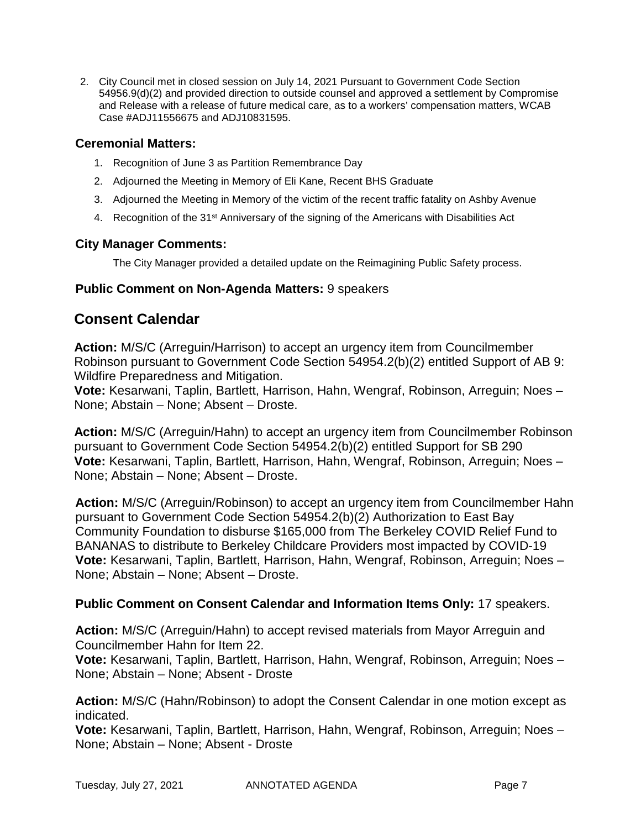2. City Council met in closed session on July 14, 2021 Pursuant to Government Code Section 54956.9(d)(2) and provided direction to outside counsel and approved a settlement by Compromise and Release with a release of future medical care, as to a workers' compensation matters, WCAB Case #ADJ11556675 and ADJ10831595.

#### **Ceremonial Matters:**

- 1. Recognition of June 3 as Partition Remembrance Day
- 2. Adjourned the Meeting in Memory of Eli Kane, Recent BHS Graduate
- 3. Adjourned the Meeting in Memory of the victim of the recent traffic fatality on Ashby Avenue
- 4. Recognition of the 31<sup>st</sup> Anniversary of the signing of the Americans with Disabilities Act

#### **City Manager Comments:**

The City Manager provided a detailed update on the Reimagining Public Safety process.

#### **Public Comment on Non-Agenda Matters:** 9 speakers

## **Consent Calendar**

**Action:** M/S/C (Arreguin/Harrison) to accept an urgency item from Councilmember Robinson pursuant to Government Code Section 54954.2(b)(2) entitled Support of AB 9: Wildfire Preparedness and Mitigation.

**Vote:** Kesarwani, Taplin, Bartlett, Harrison, Hahn, Wengraf, Robinson, Arreguin; Noes – None; Abstain – None; Absent – Droste.

**Action:** M/S/C (Arreguin/Hahn) to accept an urgency item from Councilmember Robinson pursuant to Government Code Section 54954.2(b)(2) entitled Support for SB 290 **Vote:** Kesarwani, Taplin, Bartlett, Harrison, Hahn, Wengraf, Robinson, Arreguin; Noes – None; Abstain – None; Absent – Droste.

**Action:** M/S/C (Arreguin/Robinson) to accept an urgency item from Councilmember Hahn pursuant to Government Code Section 54954.2(b)(2) Authorization to East Bay Community Foundation to disburse \$165,000 from The Berkeley COVID Relief Fund to BANANAS to distribute to Berkeley Childcare Providers most impacted by COVID-19 **Vote:** Kesarwani, Taplin, Bartlett, Harrison, Hahn, Wengraf, Robinson, Arreguin; Noes – None; Abstain – None; Absent – Droste.

#### **Public Comment on Consent Calendar and Information Items Only:** 17 speakers.

**Action:** M/S/C (Arreguin/Hahn) to accept revised materials from Mayor Arreguin and Councilmember Hahn for Item 22.

**Vote:** Kesarwani, Taplin, Bartlett, Harrison, Hahn, Wengraf, Robinson, Arreguin; Noes – None; Abstain – None; Absent - Droste

**Action:** M/S/C (Hahn/Robinson) to adopt the Consent Calendar in one motion except as indicated.

**Vote:** Kesarwani, Taplin, Bartlett, Harrison, Hahn, Wengraf, Robinson, Arreguin; Noes – None; Abstain – None; Absent - Droste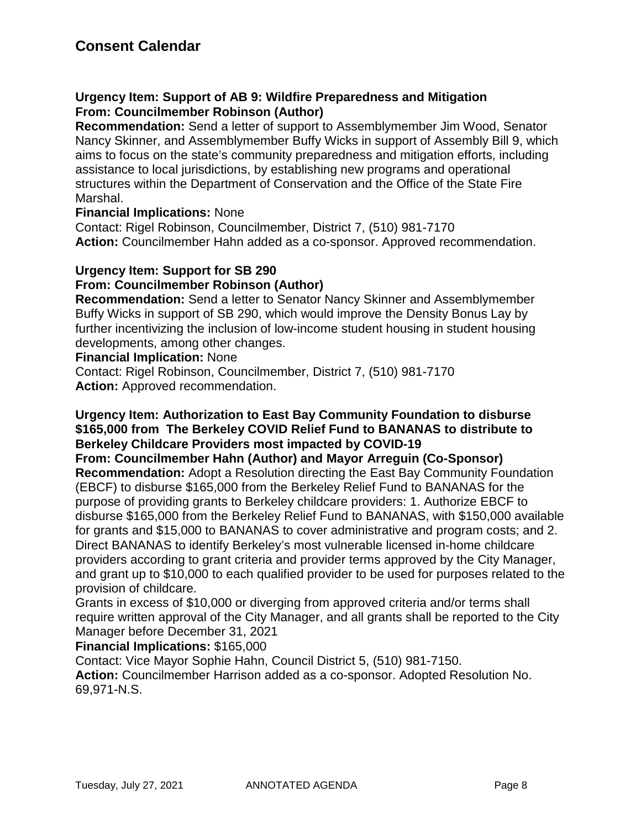### **Urgency Item: Support of AB 9: Wildfire Preparedness and Mitigation From: Councilmember Robinson (Author)**

**Recommendation:** Send a letter of support to Assemblymember Jim Wood, Senator Nancy Skinner, and Assemblymember Buffy Wicks in support of Assembly Bill 9, which aims to focus on the state's community preparedness and mitigation efforts, including assistance to local jurisdictions, by establishing new programs and operational structures within the Department of Conservation and the Office of the State Fire Marshal.

#### **Financial Implications:** None

Contact: Rigel Robinson, Councilmember, District 7, (510) 981-7170 **Action:** Councilmember Hahn added as a co-sponsor. Approved recommendation.

## **Urgency Item: Support for SB 290**

#### **From: Councilmember Robinson (Author)**

**Recommendation:** Send a letter to Senator Nancy Skinner and Assemblymember Buffy Wicks in support of SB 290, which would improve the Density Bonus Lay by further incentivizing the inclusion of low-income student housing in student housing developments, among other changes.

#### **Financial Implication:** None

Contact: Rigel Robinson, Councilmember, District 7, (510) 981-7170 **Action:** Approved recommendation.

### **Urgency Item: Authorization to East Bay Community Foundation to disburse \$165,000 from The Berkeley COVID Relief Fund to BANANAS to distribute to Berkeley Childcare Providers most impacted by COVID-19**

**From: Councilmember Hahn (Author) and Mayor Arreguin (Co-Sponsor) Recommendation:** Adopt a Resolution directing the East Bay Community Foundation (EBCF) to disburse \$165,000 from the Berkeley Relief Fund to BANANAS for the purpose of providing grants to Berkeley childcare providers: 1. Authorize EBCF to disburse \$165,000 from the Berkeley Relief Fund to BANANAS, with \$150,000 available for grants and \$15,000 to BANANAS to cover administrative and program costs; and 2. Direct BANANAS to identify Berkeley's most vulnerable licensed in-home childcare providers according to grant criteria and provider terms approved by the City Manager, and grant up to \$10,000 to each qualified provider to be used for purposes related to the provision of childcare.

Grants in excess of \$10,000 or diverging from approved criteria and/or terms shall require written approval of the City Manager, and all grants shall be reported to the City Manager before December 31, 2021

#### **Financial Implications:** \$165,000

Contact: Vice Mayor Sophie Hahn, Council District 5, (510) 981-7150. **Action:** Councilmember Harrison added as a co-sponsor. Adopted Resolution No. 69,971-N.S.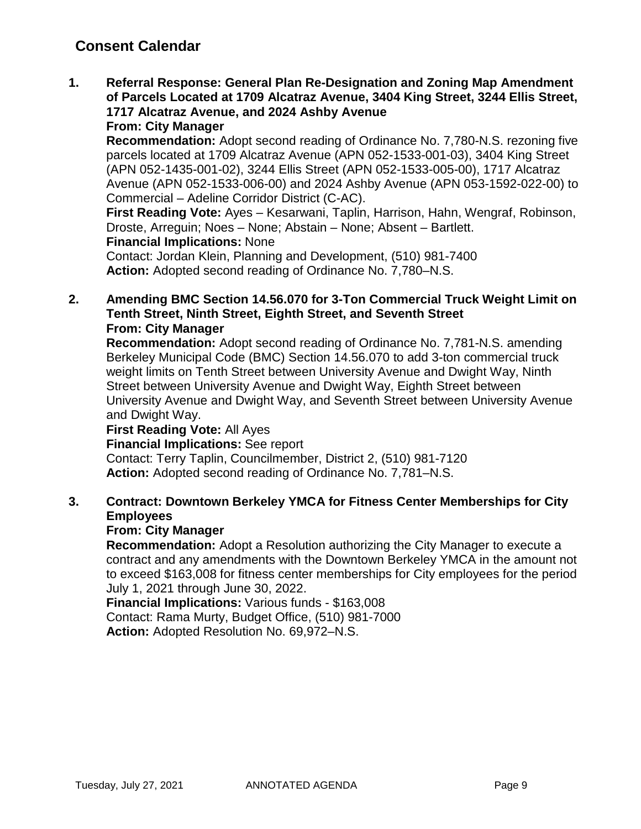**1. Referral Response: General Plan Re-Designation and Zoning Map Amendment of Parcels Located at 1709 Alcatraz Avenue, 3404 King Street, 3244 Ellis Street, 1717 Alcatraz Avenue, and 2024 Ashby Avenue From: City Manager**

**Recommendation:** Adopt second reading of Ordinance No. 7,780-N.S. rezoning five parcels located at 1709 Alcatraz Avenue (APN 052-1533-001-03), 3404 King Street (APN 052-1435-001-02), 3244 Ellis Street (APN 052-1533-005-00), 1717 Alcatraz Avenue (APN 052-1533-006-00) and 2024 Ashby Avenue (APN 053-1592-022-00) to Commercial – Adeline Corridor District (C-AC).

**First Reading Vote:** Ayes – Kesarwani, Taplin, Harrison, Hahn, Wengraf, Robinson, Droste, Arreguin; Noes – None; Abstain – None; Absent – Bartlett. **Financial Implications:** None

Contact: Jordan Klein, Planning and Development, (510) 981-7400 **Action:** Adopted second reading of Ordinance No. 7,780–N.S.

#### **2. Amending BMC Section 14.56.070 for 3-Ton Commercial Truck Weight Limit on Tenth Street, Ninth Street, Eighth Street, and Seventh Street From: City Manager**

**Recommendation:** Adopt second reading of Ordinance No. 7,781-N.S. amending Berkeley Municipal Code (BMC) Section 14.56.070 to add 3-ton commercial truck weight limits on Tenth Street between University Avenue and Dwight Way, Ninth Street between University Avenue and Dwight Way, Eighth Street between University Avenue and Dwight Way, and Seventh Street between University Avenue and Dwight Way.

#### **First Reading Vote:** All Ayes

**Financial Implications:** See report

Contact: Terry Taplin, Councilmember, District 2, (510) 981-7120 **Action:** Adopted second reading of Ordinance No. 7,781–N.S.

### **3. Contract: Downtown Berkeley YMCA for Fitness Center Memberships for City Employees**

#### **From: City Manager**

**Recommendation:** Adopt a Resolution authorizing the City Manager to execute a contract and any amendments with the Downtown Berkeley YMCA in the amount not to exceed \$163,008 for fitness center memberships for City employees for the period July 1, 2021 through June 30, 2022.

**Financial Implications:** Various funds - \$163,008 Contact: Rama Murty, Budget Office, (510) 981-7000 **Action:** Adopted Resolution No. 69,972–N.S.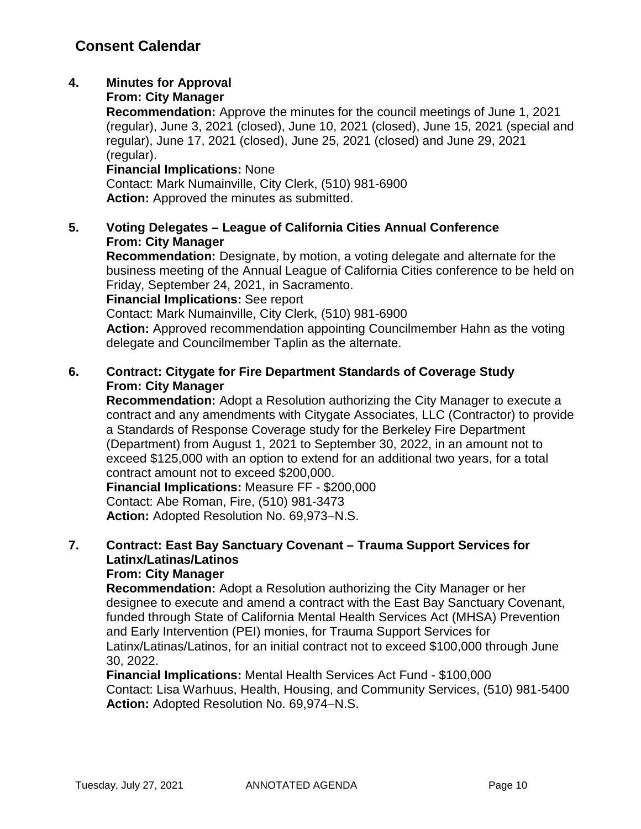## **4. Minutes for Approval**

#### **From: City Manager**

**Recommendation:** Approve the minutes for the council meetings of June 1, 2021 (regular), June 3, 2021 (closed), June 10, 2021 (closed), June 15, 2021 (special and regular), June 17, 2021 (closed), June 25, 2021 (closed) and June 29, 2021 (regular).

#### **Financial Implications:** None

Contact: Mark Numainville, City Clerk, (510) 981-6900 **Action:** Approved the minutes as submitted.

### **5. Voting Delegates – League of California Cities Annual Conference From: City Manager**

**Recommendation:** Designate, by motion, a voting delegate and alternate for the business meeting of the Annual League of California Cities conference to be held on Friday, September 24, 2021, in Sacramento.

**Financial Implications:** See report

Contact: Mark Numainville, City Clerk, (510) 981-6900

**Action:** Approved recommendation appointing Councilmember Hahn as the voting delegate and Councilmember Taplin as the alternate.

### **6. Contract: Citygate for Fire Department Standards of Coverage Study From: City Manager**

**Recommendation:** Adopt a Resolution authorizing the City Manager to execute a contract and any amendments with Citygate Associates, LLC (Contractor) to provide a Standards of Response Coverage study for the Berkeley Fire Department (Department) from August 1, 2021 to September 30, 2022, in an amount not to exceed \$125,000 with an option to extend for an additional two years, for a total contract amount not to exceed \$200,000. **Financial Implications:** Measure FF - \$200,000

Contact: Abe Roman, Fire, (510) 981-3473

**Action:** Adopted Resolution No. 69,973–N.S.

### **7. Contract: East Bay Sanctuary Covenant – Trauma Support Services for Latinx/Latinas/Latinos**

#### **From: City Manager**

**Recommendation:** Adopt a Resolution authorizing the City Manager or her designee to execute and amend a contract with the East Bay Sanctuary Covenant, funded through State of California Mental Health Services Act (MHSA) Prevention and Early Intervention (PEI) monies, for Trauma Support Services for Latinx/Latinas/Latinos, for an initial contract not to exceed \$100,000 through June 30, 2022.

**Financial Implications:** Mental Health Services Act Fund - \$100,000 Contact: Lisa Warhuus, Health, Housing, and Community Services, (510) 981-5400 **Action:** Adopted Resolution No. 69,974–N.S.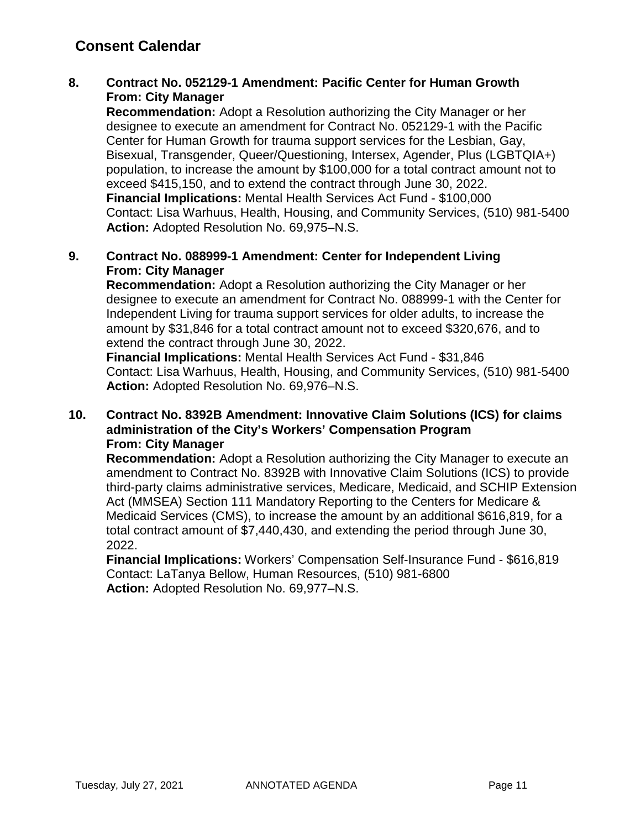### **8. Contract No. 052129-1 Amendment: Pacific Center for Human Growth From: City Manager**

**Recommendation:** Adopt a Resolution authorizing the City Manager or her designee to execute an amendment for Contract No. 052129-1 with the Pacific Center for Human Growth for trauma support services for the Lesbian, Gay, Bisexual, Transgender, Queer/Questioning, Intersex, Agender, Plus (LGBTQIA+) population, to increase the amount by \$100,000 for a total contract amount not to exceed \$415,150, and to extend the contract through June 30, 2022. **Financial Implications:** Mental Health Services Act Fund - \$100,000 Contact: Lisa Warhuus, Health, Housing, and Community Services, (510) 981-5400 **Action:** Adopted Resolution No. 69,975–N.S.

#### **9. Contract No. 088999-1 Amendment: Center for Independent Living From: City Manager**

**Recommendation:** Adopt a Resolution authorizing the City Manager or her designee to execute an amendment for Contract No. 088999-1 with the Center for Independent Living for trauma support services for older adults, to increase the amount by \$31,846 for a total contract amount not to exceed \$320,676, and to extend the contract through June 30, 2022.

**Financial Implications:** Mental Health Services Act Fund - \$31,846 Contact: Lisa Warhuus, Health, Housing, and Community Services, (510) 981-5400 **Action:** Adopted Resolution No. 69,976–N.S.

#### **10. Contract No. 8392B Amendment: Innovative Claim Solutions (ICS) for claims administration of the City's Workers' Compensation Program From: City Manager**

**Recommendation:** Adopt a Resolution authorizing the City Manager to execute an amendment to Contract No. 8392B with Innovative Claim Solutions (ICS) to provide third-party claims administrative services, Medicare, Medicaid, and SCHIP Extension Act (MMSEA) Section 111 Mandatory Reporting to the Centers for Medicare & Medicaid Services (CMS), to increase the amount by an additional \$616,819, for a total contract amount of \$7,440,430, and extending the period through June 30, 2022.

**Financial Implications:** Workers' Compensation Self-Insurance Fund - \$616,819 Contact: LaTanya Bellow, Human Resources, (510) 981-6800 **Action:** Adopted Resolution No. 69,977–N.S.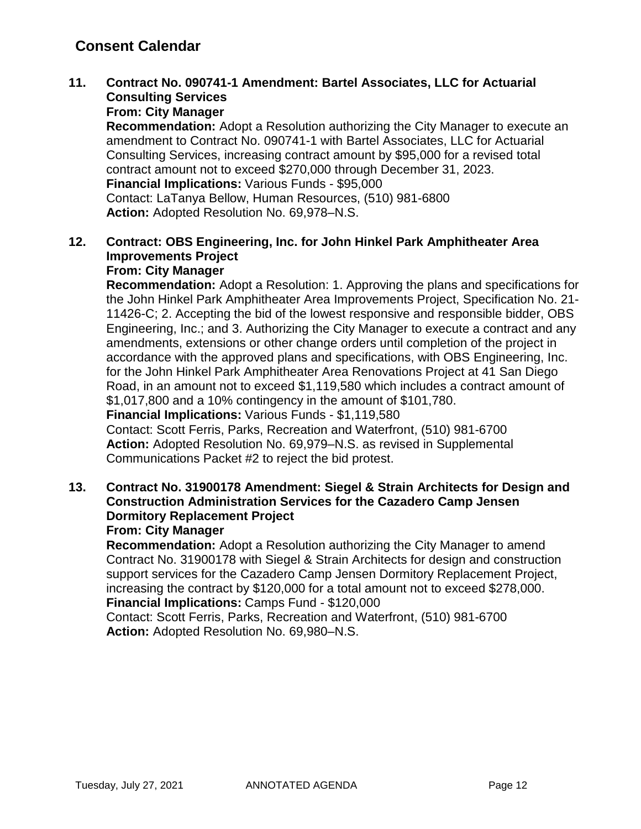# **11. Contract No. 090741-1 Amendment: Bartel Associates, LLC for Actuarial Consulting Services**

### **From: City Manager**

**Recommendation:** Adopt a Resolution authorizing the City Manager to execute an amendment to Contract No. 090741-1 with Bartel Associates, LLC for Actuarial Consulting Services, increasing contract amount by \$95,000 for a revised total contract amount not to exceed \$270,000 through December 31, 2023. **Financial Implications:** Various Funds - \$95,000 Contact: LaTanya Bellow, Human Resources, (510) 981-6800 **Action:** Adopted Resolution No. 69,978–N.S.

#### **12. Contract: OBS Engineering, Inc. for John Hinkel Park Amphitheater Area Improvements Project From: City Manager**

**Recommendation:** Adopt a Resolution: 1. Approving the plans and specifications for the John Hinkel Park Amphitheater Area Improvements Project, Specification No. 21- 11426-C; 2. Accepting the bid of the lowest responsive and responsible bidder, OBS Engineering, Inc.; and 3. Authorizing the City Manager to execute a contract and any amendments, extensions or other change orders until completion of the project in accordance with the approved plans and specifications, with OBS Engineering, Inc. for the John Hinkel Park Amphitheater Area Renovations Project at 41 San Diego Road, in an amount not to exceed \$1,119,580 which includes a contract amount of \$1,017,800 and a 10% contingency in the amount of \$101,780.

**Financial Implications:** Various Funds - \$1,119,580

Contact: Scott Ferris, Parks, Recreation and Waterfront, (510) 981-6700 **Action:** Adopted Resolution No. 69,979–N.S. as revised in Supplemental Communications Packet #2 to reject the bid protest.

#### **13. Contract No. 31900178 Amendment: Siegel & Strain Architects for Design and Construction Administration Services for the Cazadero Camp Jensen Dormitory Replacement Project From: City Manager**

**Recommendation:** Adopt a Resolution authorizing the City Manager to amend Contract No. 31900178 with Siegel & Strain Architects for design and construction support services for the Cazadero Camp Jensen Dormitory Replacement Project, increasing the contract by \$120,000 for a total amount not to exceed \$278,000. **Financial Implications:** Camps Fund - \$120,000

Contact: Scott Ferris, Parks, Recreation and Waterfront, (510) 981-6700 **Action:** Adopted Resolution No. 69,980–N.S.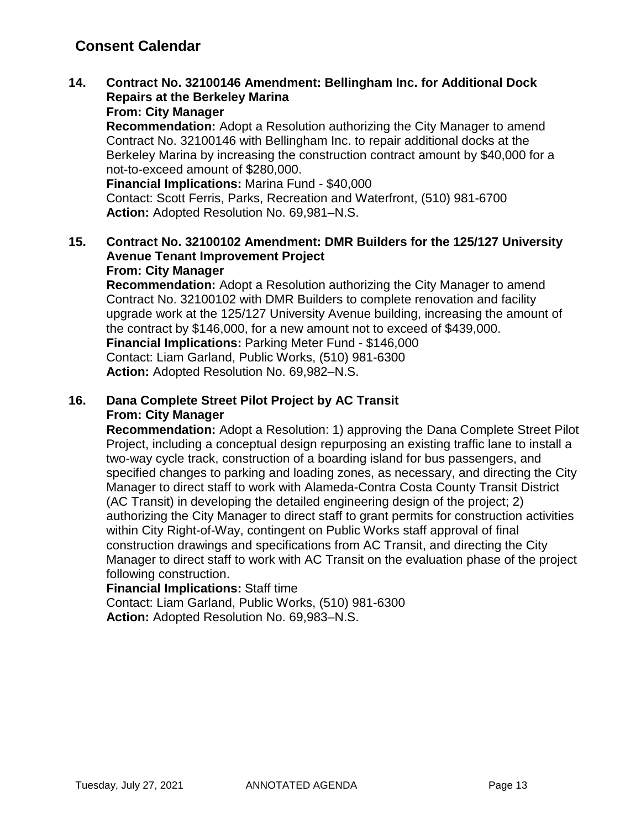# **14. Contract No. 32100146 Amendment: Bellingham Inc. for Additional Dock Repairs at the Berkeley Marina**

### **From: City Manager**

**Recommendation:** Adopt a Resolution authorizing the City Manager to amend Contract No. 32100146 with Bellingham Inc. to repair additional docks at the Berkeley Marina by increasing the construction contract amount by \$40,000 for a not-to-exceed amount of \$280,000.

**Financial Implications:** Marina Fund - \$40,000

Contact: Scott Ferris, Parks, Recreation and Waterfront, (510) 981-6700 **Action:** Adopted Resolution No. 69,981–N.S.

#### **15. Contract No. 32100102 Amendment: DMR Builders for the 125/127 University Avenue Tenant Improvement Project From: City Manager**

**Recommendation:** Adopt a Resolution authorizing the City Manager to amend Contract No. 32100102 with DMR Builders to complete renovation and facility upgrade work at the 125/127 University Avenue building, increasing the amount of the contract by \$146,000, for a new amount not to exceed of \$439,000. **Financial Implications:** Parking Meter Fund - \$146,000 Contact: Liam Garland, Public Works, (510) 981-6300 **Action:** Adopted Resolution No. 69,982–N.S.

## **16. Dana Complete Street Pilot Project by AC Transit From: City Manager**

**Recommendation:** Adopt a Resolution: 1) approving the Dana Complete Street Pilot Project, including a conceptual design repurposing an existing traffic lane to install a two-way cycle track, construction of a boarding island for bus passengers, and specified changes to parking and loading zones, as necessary, and directing the City Manager to direct staff to work with Alameda-Contra Costa County Transit District (AC Transit) in developing the detailed engineering design of the project; 2) authorizing the City Manager to direct staff to grant permits for construction activities within City Right-of-Way, contingent on Public Works staff approval of final construction drawings and specifications from AC Transit, and directing the City Manager to direct staff to work with AC Transit on the evaluation phase of the project following construction.

#### **Financial Implications:** Staff time

Contact: Liam Garland, Public Works, (510) 981-6300 **Action:** Adopted Resolution No. 69,983–N.S.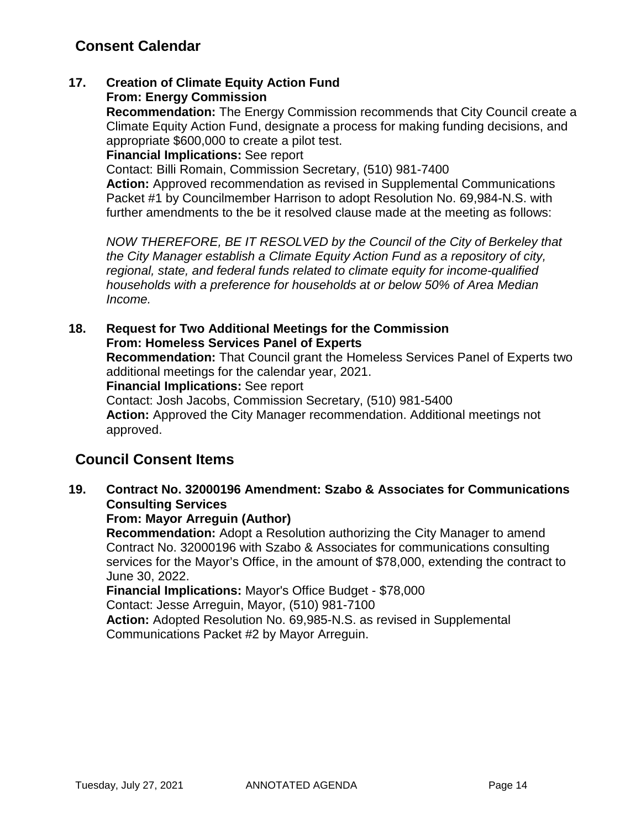#### **17. Creation of Climate Equity Action Fund From: Energy Commission**

**Recommendation:** The Energy Commission recommends that City Council create a Climate Equity Action Fund, designate a process for making funding decisions, and appropriate \$600,000 to create a pilot test.

**Financial Implications:** See report

Contact: Billi Romain, Commission Secretary, (510) 981-7400

**Action:** Approved recommendation as revised in Supplemental Communications Packet #1 by Councilmember Harrison to adopt Resolution No. 69,984-N.S. with further amendments to the be it resolved clause made at the meeting as follows:

*NOW THEREFORE, BE IT RESOLVED by the Council of the City of Berkeley that the City Manager establish a Climate Equity Action Fund as a repository of city, regional, state, and federal funds related to climate equity for income-qualified households with a preference for households at or below 50% of Area Median Income.* 

### **18. Request for Two Additional Meetings for the Commission From: Homeless Services Panel of Experts Recommendation:** That Council grant the Homeless Services Panel of Experts two additional meetings for the calendar year, 2021. **Financial Implications:** See report Contact: Josh Jacobs, Commission Secretary, (510) 981-5400 **Action:** Approved the City Manager recommendation. Additional meetings not approved.

# **Council Consent Items**

## **19. Contract No. 32000196 Amendment: Szabo & Associates for Communications Consulting Services**

#### **From: Mayor Arreguin (Author)**

**Recommendation:** Adopt a Resolution authorizing the City Manager to amend Contract No. 32000196 with Szabo & Associates for communications consulting services for the Mayor's Office, in the amount of \$78,000, extending the contract to June 30, 2022.

**Financial Implications:** Mayor's Office Budget - \$78,000

Contact: Jesse Arreguin, Mayor, (510) 981-7100

**Action:** Adopted Resolution No. 69,985-N.S. as revised in Supplemental Communications Packet #2 by Mayor Arreguin.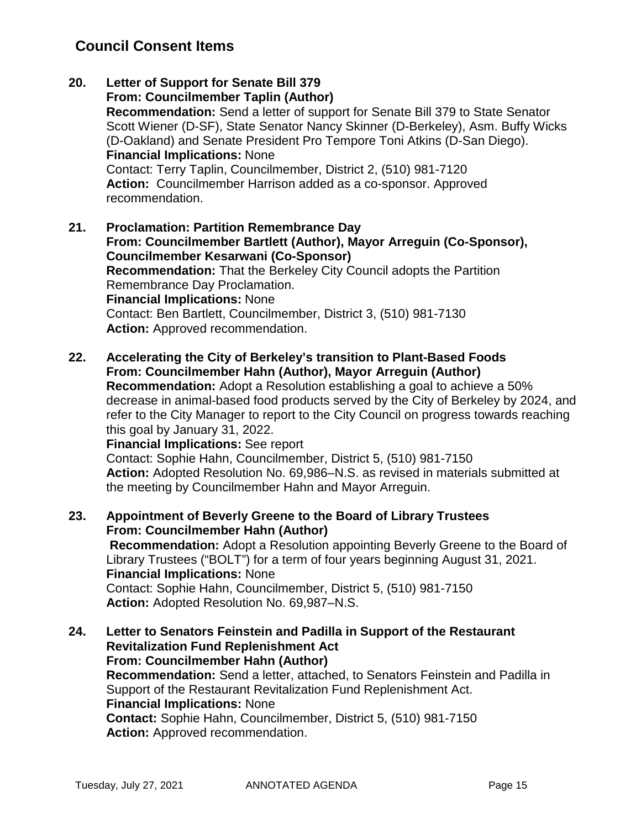# **Council Consent Items**

- **20. Letter of Support for Senate Bill 379 From: Councilmember Taplin (Author) Recommendation:** Send a letter of support for Senate Bill 379 to State Senator Scott Wiener (D-SF), State Senator Nancy Skinner (D-Berkeley), Asm. Buffy Wicks (D-Oakland) and Senate President Pro Tempore Toni Atkins (D-San Diego). **Financial Implications:** None Contact: Terry Taplin, Councilmember, District 2, (510) 981-7120 **Action:** Councilmember Harrison added as a co-sponsor. Approved recommendation.
- **21. Proclamation: Partition Remembrance Day From: Councilmember Bartlett (Author), Mayor Arreguin (Co-Sponsor), Councilmember Kesarwani (Co-Sponsor) Recommendation:** That the Berkeley City Council adopts the Partition Remembrance Day Proclamation. **Financial Implications:** None Contact: Ben Bartlett, Councilmember, District 3, (510) 981-7130 **Action:** Approved recommendation.
- **22. Accelerating the City of Berkeley's transition to Plant-Based Foods From: Councilmember Hahn (Author), Mayor Arreguin (Author) Recommendation:** Adopt a Resolution establishing a goal to achieve a 50% decrease in animal-based food products served by the City of Berkeley by 2024, and refer to the City Manager to report to the City Council on progress towards reaching this goal by January 31, 2022.

**Financial Implications:** See report Contact: Sophie Hahn, Councilmember, District 5, (510) 981-7150 **Action:** Adopted Resolution No. 69,986–N.S. as revised in materials submitted at the meeting by Councilmember Hahn and Mayor Arreguin.

- **23. Appointment of Beverly Greene to the Board of Library Trustees From: Councilmember Hahn (Author) Recommendation:** Adopt a Resolution appointing Beverly Greene to the Board of Library Trustees ("BOLT") for a term of four years beginning August 31, 2021. **Financial Implications:** None Contact: Sophie Hahn, Councilmember, District 5, (510) 981-7150 **Action:** Adopted Resolution No. 69,987–N.S.
- **24. Letter to Senators Feinstein and Padilla in Support of the Restaurant Revitalization Fund Replenishment Act From: Councilmember Hahn (Author) Recommendation:** Send a letter, attached, to Senators Feinstein and Padilla in Support of the Restaurant Revitalization Fund Replenishment Act. **Financial Implications:** None **Contact:** Sophie Hahn, Councilmember, District 5, (510) 981-7150 Action: Approved recommendation.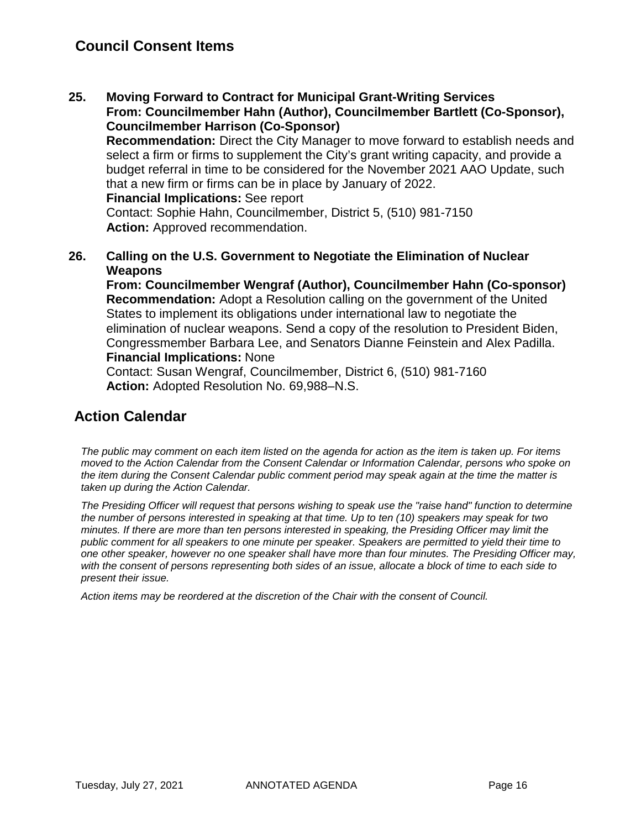**25. Moving Forward to Contract for Municipal Grant-Writing Services From: Councilmember Hahn (Author), Councilmember Bartlett (Co-Sponsor), Councilmember Harrison (Co-Sponsor)**

**Recommendation:** Direct the City Manager to move forward to establish needs and select a firm or firms to supplement the City's grant writing capacity, and provide a budget referral in time to be considered for the November 2021 AAO Update, such that a new firm or firms can be in place by January of 2022.

#### **Financial Implications:** See report

Contact: Sophie Hahn, Councilmember, District 5, (510) 981-7150 Action: Approved recommendation.

**26. Calling on the U.S. Government to Negotiate the Elimination of Nuclear Weapons**

**From: Councilmember Wengraf (Author), Councilmember Hahn (Co-sponsor) Recommendation:** Adopt a Resolution calling on the government of the United States to implement its obligations under international law to negotiate the elimination of nuclear weapons. Send a copy of the resolution to President Biden, Congressmember Barbara Lee, and Senators Dianne Feinstein and Alex Padilla. **Financial Implications:** None

Contact: Susan Wengraf, Councilmember, District 6, (510) 981-7160 **Action:** Adopted Resolution No. 69,988–N.S.

## **Action Calendar**

*The public may comment on each item listed on the agenda for action as the item is taken up. For items moved to the Action Calendar from the Consent Calendar or Information Calendar, persons who spoke on the item during the Consent Calendar public comment period may speak again at the time the matter is taken up during the Action Calendar.*

*The Presiding Officer will request that persons wishing to speak use the "raise hand" function to determine the number of persons interested in speaking at that time. Up to ten (10) speakers may speak for two minutes. If there are more than ten persons interested in speaking, the Presiding Officer may limit the public comment for all speakers to one minute per speaker. Speakers are permitted to yield their time to one other speaker, however no one speaker shall have more than four minutes. The Presiding Officer may, with the consent of persons representing both sides of an issue, allocate a block of time to each side to present their issue.*

*Action items may be reordered at the discretion of the Chair with the consent of Council.*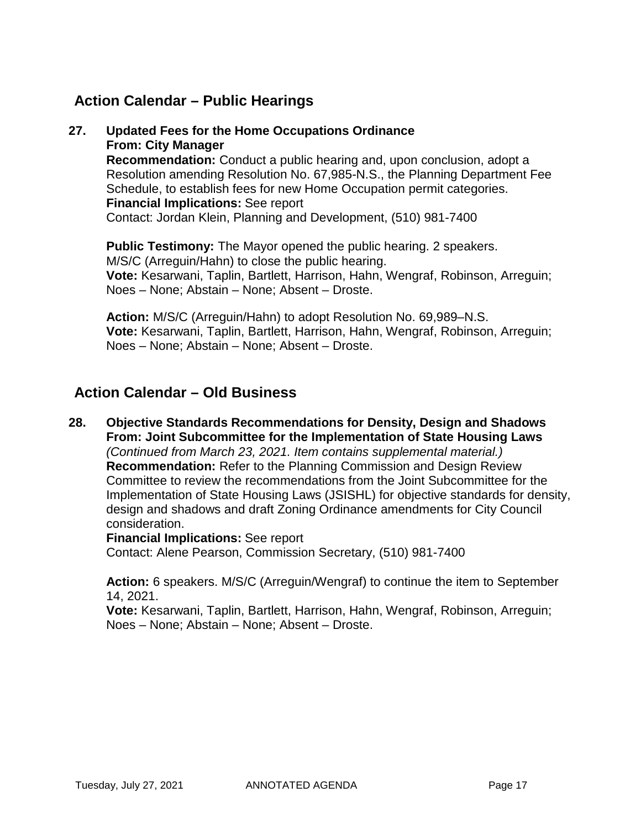# **Action Calendar – Public Hearings**

### **27. Updated Fees for the Home Occupations Ordinance From: City Manager Recommendation:** Conduct a public hearing and, upon conclusion, adopt a Resolution amending Resolution No. 67,985-N.S., the Planning Department Fee Schedule, to establish fees for new Home Occupation permit categories. **Financial Implications:** See report Contact: Jordan Klein, Planning and Development, (510) 981-7400

**Public Testimony:** The Mayor opened the public hearing. 2 speakers. M/S/C (Arreguin/Hahn) to close the public hearing. **Vote:** Kesarwani, Taplin, Bartlett, Harrison, Hahn, Wengraf, Robinson, Arreguin; Noes – None; Abstain – None; Absent – Droste.

**Action:** M/S/C (Arreguin/Hahn) to adopt Resolution No. 69,989–N.S. **Vote:** Kesarwani, Taplin, Bartlett, Harrison, Hahn, Wengraf, Robinson, Arreguin; Noes – None; Abstain – None; Absent – Droste.

# **Action Calendar – Old Business**

**28. Objective Standards Recommendations for Density, Design and Shadows From: Joint Subcommittee for the Implementation of State Housing Laws** *(Continued from March 23, 2021. Item contains supplemental material.)* **Recommendation:** Refer to the Planning Commission and Design Review Committee to review the recommendations from the Joint Subcommittee for the Implementation of State Housing Laws (JSISHL) for objective standards for density, design and shadows and draft Zoning Ordinance amendments for City Council consideration.

**Financial Implications:** See report

Contact: Alene Pearson, Commission Secretary, (510) 981-7400

**Action:** 6 speakers. M/S/C (Arreguin/Wengraf) to continue the item to September 14, 2021.

**Vote:** Kesarwani, Taplin, Bartlett, Harrison, Hahn, Wengraf, Robinson, Arreguin; Noes – None; Abstain – None; Absent – Droste.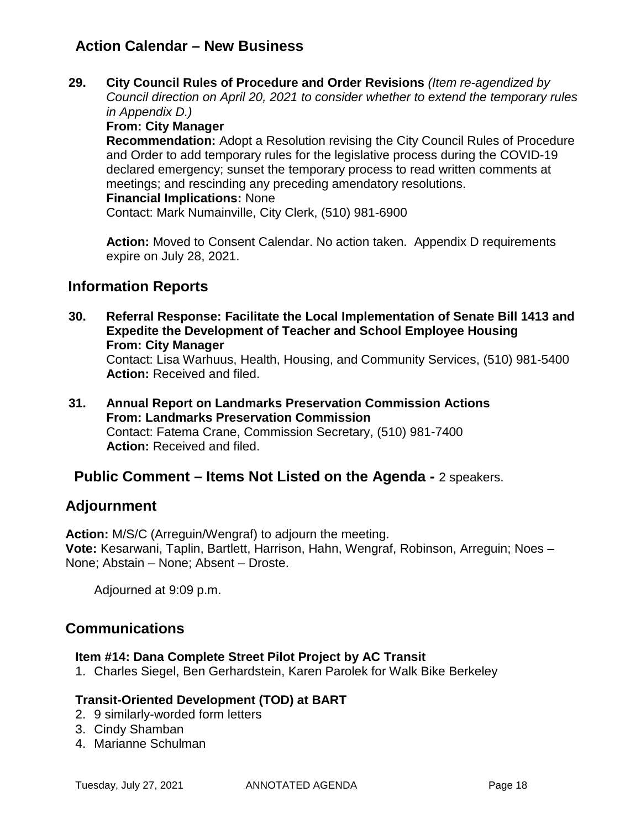# **Action Calendar – New Business**

**29. City Council Rules of Procedure and Order Revisions** *(Item re-agendized by Council direction on April 20, 2021 to consider whether to extend the temporary rules in Appendix D.)*

**From: City Manager Recommendation:** Adopt a Resolution revising the City Council Rules of Procedure and Order to add temporary rules for the legislative process during the COVID-19 declared emergency; sunset the temporary process to read written comments at meetings; and rescinding any preceding amendatory resolutions.

#### **Financial Implications:** None

Contact: Mark Numainville, City Clerk, (510) 981-6900

**Action:** Moved to Consent Calendar. No action taken. Appendix D requirements expire on July 28, 2021.

### **Information Reports**

- **30. Referral Response: Facilitate the Local Implementation of Senate Bill 1413 and Expedite the Development of Teacher and School Employee Housing From: City Manager** Contact: Lisa Warhuus, Health, Housing, and Community Services, (510) 981-5400 **Action:** Received and filed.
- **31. Annual Report on Landmarks Preservation Commission Actions From: Landmarks Preservation Commission** Contact: Fatema Crane, Commission Secretary, (510) 981-7400 **Action:** Received and filed.

## **Public Comment – Items Not Listed on the Agenda -** 2 speakers.

#### **Adjournment**

**Action:** M/S/C (Arreguin/Wengraf) to adjourn the meeting. **Vote:** Kesarwani, Taplin, Bartlett, Harrison, Hahn, Wengraf, Robinson, Arreguin; Noes – None; Abstain – None; Absent – Droste.

Adjourned at 9:09 p.m.

### **Communications**

#### **Item #14: Dana Complete Street Pilot Project by AC Transit**

1. Charles Siegel, Ben Gerhardstein, Karen Parolek for Walk Bike Berkeley

#### **Transit-Oriented Development (TOD) at BART**

- 2. 9 similarly-worded form letters
- 3. Cindy Shamban
- 4. Marianne Schulman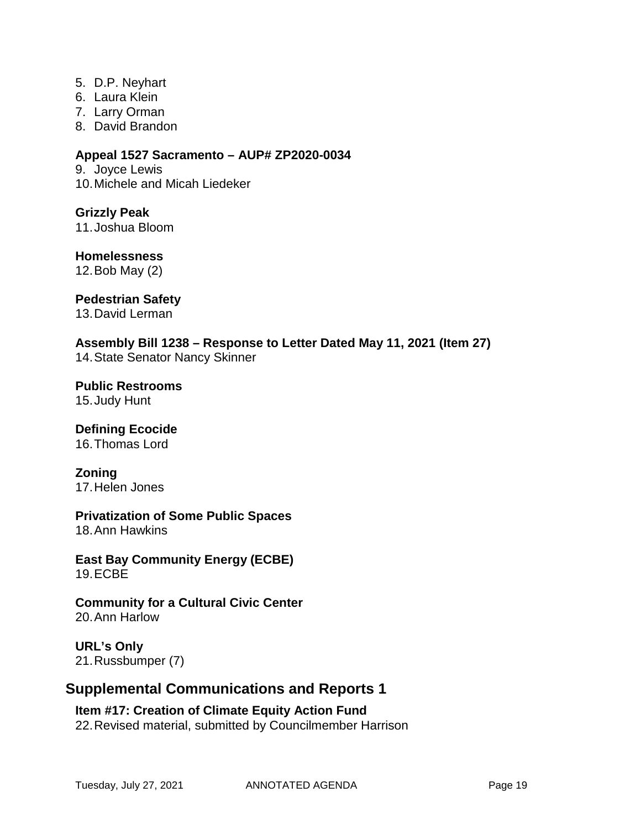- 5. D.P. Neyhart
- 6. Laura Klein
- 7. Larry Orman
- 8. David Brandon

**Appeal 1527 Sacramento – AUP# ZP2020-0034** 9. Joyce Lewis 10.Michele and Micah Liedeker

**Grizzly Peak** 11.Joshua Bloom

**Homelessness** 12.Bob May (2)

**Pedestrian Safety** 13.David Lerman

**Assembly Bill 1238 – Response to Letter Dated May 11, 2021 (Item 27)** 14.State Senator Nancy Skinner

**Public Restrooms** 15.Judy Hunt

# **Defining Ecocide**

16.Thomas Lord

**Zoning** 17.Helen Jones

**Privatization of Some Public Spaces** 18.Ann Hawkins

**East Bay Community Energy (ECBE)** 19.ECBE

**Community for a Cultural Civic Center** 20.Ann Harlow

**URL's Only** 21.Russbumper (7)

# **Supplemental Communications and Reports 1**

**Item #17: Creation of Climate Equity Action Fund** 22.Revised material, submitted by Councilmember Harrison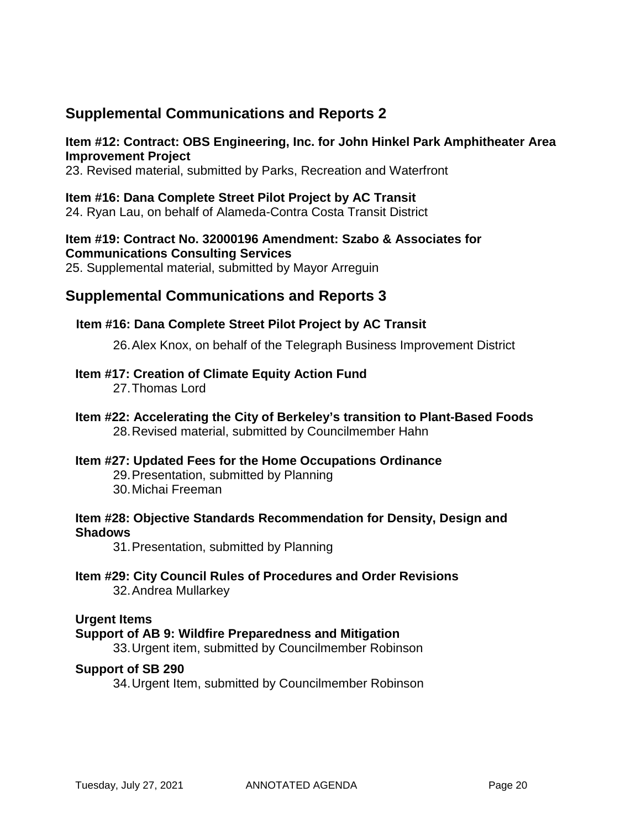# **Supplemental Communications and Reports 2**

#### **Item #12: Contract: OBS Engineering, Inc. for John Hinkel Park Amphitheater Area Improvement Project**

23. Revised material, submitted by Parks, Recreation and Waterfront

#### **Item #16: Dana Complete Street Pilot Project by AC Transit**

24. Ryan Lau, on behalf of Alameda-Contra Costa Transit District

#### **Item #19: Contract No. 32000196 Amendment: Szabo & Associates for Communications Consulting Services**

25. Supplemental material, submitted by Mayor Arreguin

## **Supplemental Communications and Reports 3**

#### **Item #16: Dana Complete Street Pilot Project by AC Transit**

26.Alex Knox, on behalf of the Telegraph Business Improvement District

#### **Item #17: Creation of Climate Equity Action Fund**

27.Thomas Lord

#### **Item #22: Accelerating the City of Berkeley's transition to Plant-Based Foods** 28.Revised material, submitted by Councilmember Hahn

#### **Item #27: Updated Fees for the Home Occupations Ordinance**

- 29.Presentation, submitted by Planning
- 30.Michai Freeman

#### **Item #28: Objective Standards Recommendation for Density, Design and Shadows**

31.Presentation, submitted by Planning

**Item #29: City Council Rules of Procedures and Order Revisions** 32.Andrea Mullarkey

#### **Urgent Items**

#### **Support of AB 9: Wildfire Preparedness and Mitigation**

33.Urgent item, submitted by Councilmember Robinson

#### **Support of SB 290**

34.Urgent Item, submitted by Councilmember Robinson